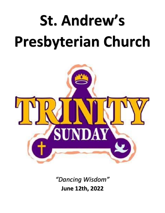# **St. Andrew's Presbyterian Church**



*"Dancing Wisdom"* **June 12th, 2022**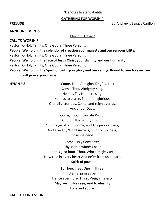# \*Denotes to stand if able

# **GATHERING FOR WORSHIP**

**PRELUDE** St. Andrew's Legacy Carillon

### **ANNOUNCEMENTS**

## **PRAISE TO GOD**

**CALL TO WORSHIP**

Pastor: O Holy Trinity, One God in Three Persons,

**People: We hold in the splendor of creation your majesty and our responsibility.**

Pastor: O Holy Trinity, One God in Three Persons,

**People: We hold in the face of Jesus Christ your divinity and our humanity.**

Pastor: O Holy Trinity, One God in Three Persons,

**People: We hold in the Spirit of truth your glory and our calling. Bound to you forever, we will praise your name!**

**HYMN #8**  $\text{``Come,}$  Thou Almighty King" v. 1 – 4 Come, Thou Almighty King, Help us Thy Name to sing; Help us to praise. Father all-glorious, O'er all victorious, Come, and reign over us, Ancient of Days.

> Come, Thou Incarnate Word, Gird on Thy mighty sword; Our prayer attend. Come, and Thy people bless, And give Thy Word success, Spirit of holiness, On us descend.

Come, Holy Comforter, Thy sacred witness bear In this glad hour. Thou, Who almighty art, Now rule in every heart And ne'er from us depart, Spirit of pow'r.

> To Thee, great One in Three, Eternal praises be, Hence evermore; Thy sov'reign majesty May we in glory see, And to eternity Love and adore.

**CALL TO CONFESSION**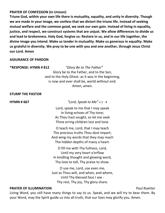# **PRAYER OF CONFESSION (In Unison)**

**Triune God, within your own life there is mutuality, equality, and unity in diversity. Though we are made in your image, we confess that we distort the triune life. Instead of seeking mutual welfare and the common good, we seek our own gain. Instead of living in equality, justice, and respect, we construct systems that are unjust. We allow differences to divide us and lead to brokenness. Holy God, forgive us. Restore in us, and in our life together, the divine image you intend. Make us tender in mutuality. Make us generous in equality. Make us grateful in diversity. We pray to be one with you and one another, through Jesus Christ our Lord. Amen**

# **ASSURANCE OF PARDON**

**\*RESPONSE: HYMN # 812** *"Glory Be to The Father"* Glory be to the Father, and to the Son, and to the Holy Ghost: as it was in the beginning, is now and ever shall be, world without end. Amen, amen.

## **STUMP THE PASTOR**

**HYMN # 667** *"Lord, Speak to Me"* v 1 - 4

Lord, speak to me that I may speak In living echoes of Thy tone; As Thou hast sought, so let me seek Thine erring children lost and lone.

O teach me, Lord, that I may teach The precious truths Thou dost impart; And wing my words that they may reach The hidden depths of many a heart.

O fill me with Thy fullness, Lord, Until my very heart o'erflow In kindling thought and glowing word, Thy love to tell, Thy praise to show.

O use me, Lord, use even me, Just as Thou wilt, and when, and where, Until Thy blessed face I see - Thy rest, Thy joy, Thy glory share.

# **PRAYER OF ILLUMINATION PRAYER OF ILLUMINATION**

Living Word, you still have many things to say to us. Speak, and we will try to bear them. By your Word, may the Spirit guide us into all truth, that our lives may glorify you. Amen.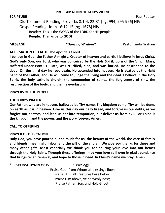# **PROCLAMATION OF GOD'S WORD**

**SCRIPTURE** Paul Roetter

Old Testament Reading: Proverbs 8:1-4, 22-31 [pg. 994, 995-996] NIV Gospel Reading: John 16:12-15 [pg. 1678] NIV Reader: This is the WORD of the LORD for His people. **People: Thanks be to GOD!**

**MESSAGE** *"Dancing Wisdom"* Pastor Linda Graham

# **AFFIRMATION OF FAITH:** The Apostle's Creed

**I believe in God, the Father Almighty, Creator of heaven and earth. I believe in Jesus Christ, God's only Son, our Lord, who was conceived by the Holy Spirit, born of the Virgin Mary, suffered under Pontius Pilate, was crucified, died, and was buried. He descended to the dead. On the third day he rose again. He ascended into heaven. He is seated at the right hand of the Father, and He will come to judge the living and the dead. I believe in the Holy Spirit, the holy catholic church, the communion of saints, the forgiveness of sins, the resurrection of the body, and the life everlasting.**

## **PRAYERS OF THE PEOPLE**

### **THE LORD'S PRAYER**

**Our Father, who art in heaven, hallowed be Thy name. Thy kingdom come, Thy will be done, on earth as it is in heaven. Give us this day our daily bread, and forgive us our debts, as we forgive our debtors, and lead us not into temptation, but deliver us from evil. For Thine is the kingdom, and the power, and the glory forever. Amen.**

# **CALL TO OFFERING**

### **PRAYER OF DEDICATION**

**Holy God, you have poured out so much for us, the beauty of the world, the care of family and friends, meaningful labor, and the gift of the church. We give you thanks for these and many other gifts. Most especially we thank you for pouring your love into our hearts through the Holy Spirit. Through these offerings, may your love spill over in glad abundance that brings relief, renewal, and hope to those in need. In Christ's name we pray. Amen.**

### **\* RESPONSE HYMN # 815** *"Doxology"*

Praise God, from Whom all blessings flow; Praise Him, all creatures here below; Praise Him above, ye heavenly host; Praise Father, Son, and Holy Ghost.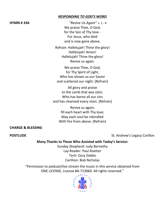# *RESPONDING TO GOD'S WORD*

**HYMN # 434** *"Revive Us Again"* v. 1 - 4 We praise Thee, O God, for the Son of Thy love - For Jesus, who died and is now gone above.

> Refrain: Hallelujah! Thine the glory! Hallelujah! Amen! Hallelujah! Thine the glory! Revive us again.

We praise Thee, O God, for Thy Spirit of Light, Who has shown us our Savior and scattered our night. [Refrain]

All glory and praise to the Lamb that was slain, Who has borne all our sins and has cleansed every stain. [Refrain]

> Revive us again; fill each heart with Thy love; May each soul be rekindled With fire from above. [Refrain]

# **CHARGE & BLESSING**

**POSTLUDE POSTLUDE St. Andrew's Legacy Carillon** 

# **Many Thanks to Those Who Assisted with Today's Service:**

Sunday Shepherd: Judy Bernethy Lay Reader: Paul Roetter Tech: Ozzy Dobbs Carillion: Bob Nicholas

"Permission to podcast/live stream the music in this service obtained from ONE LICENSE, License #A-713060. All rights reserved."<br> $\frac{1}{2}$